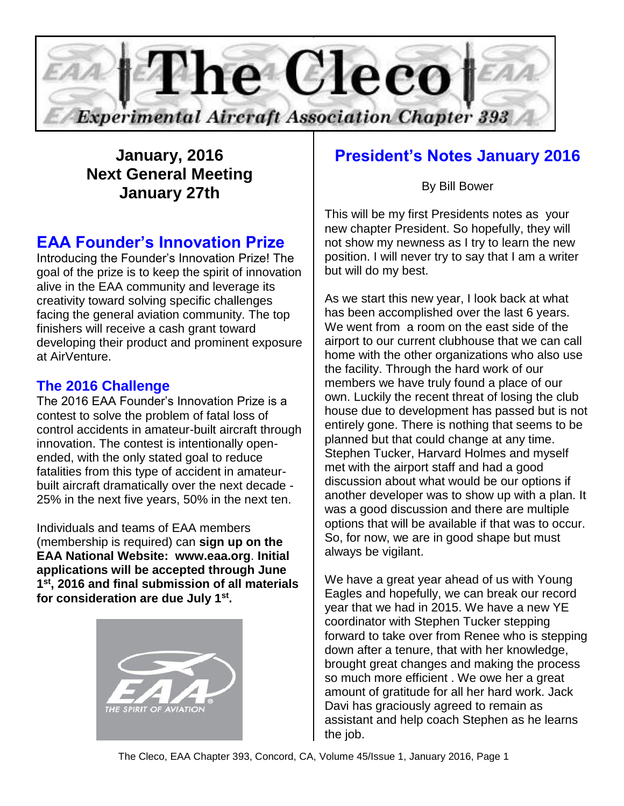

## **January, 2016 Next General Meeting January 27th**

## **EAA Founder's Innovation Prize**

Introducing the Founder's Innovation Prize! The goal of the prize is to keep the spirit of innovation alive in the EAA community and leverage its creativity toward solving specific challenges facing the general aviation community. The top finishers will receive a cash grant toward developing their product and prominent exposure at AirVenture.

## **The 2016 Challenge**

The 2016 EAA Founder's Innovation Prize is a contest to solve the problem of fatal loss of control accidents in amateur-built aircraft through innovation. The contest is intentionally openended, with the only stated goal to reduce fatalities from this type of accident in amateurbuilt aircraft dramatically over the next decade - 25% in the next five years, 50% in the next ten.

Individuals and teams of EAA members (membership is required) can **sign up on the EAA National Website: www.eaa.org**. **Initial applications will be accepted through June 1 st, 2016 and final submission of all materials for consideration are due July 1st .**



## **President's Notes January 2016**

By Bill Bower

This will be my first Presidents notes as your new chapter President. So hopefully, they will not show my newness as I try to learn the new position. I will never try to say that I am a writer but will do my best.

As we start this new year, I look back at what has been accomplished over the last 6 years. We went from a room on the east side of the airport to our current clubhouse that we can call home with the other organizations who also use the facility. Through the hard work of our members we have truly found a place of our own. Luckily the recent threat of losing the club house due to development has passed but is not entirely gone. There is nothing that seems to be planned but that could change at any time. Stephen Tucker, Harvard Holmes and myself met with the airport staff and had a good discussion about what would be our options if another developer was to show up with a plan. It was a good discussion and there are multiple options that will be available if that was to occur. So, for now, we are in good shape but must always be vigilant.

We have a great year ahead of us with Young Eagles and hopefully, we can break our record year that we had in 2015. We have a new YE coordinator with Stephen Tucker stepping forward to take over from Renee who is stepping down after a tenure, that with her knowledge, brought great changes and making the process so much more efficient . We owe her a great amount of gratitude for all her hard work. Jack Davi has graciously agreed to remain as assistant and help coach Stephen as he learns the job.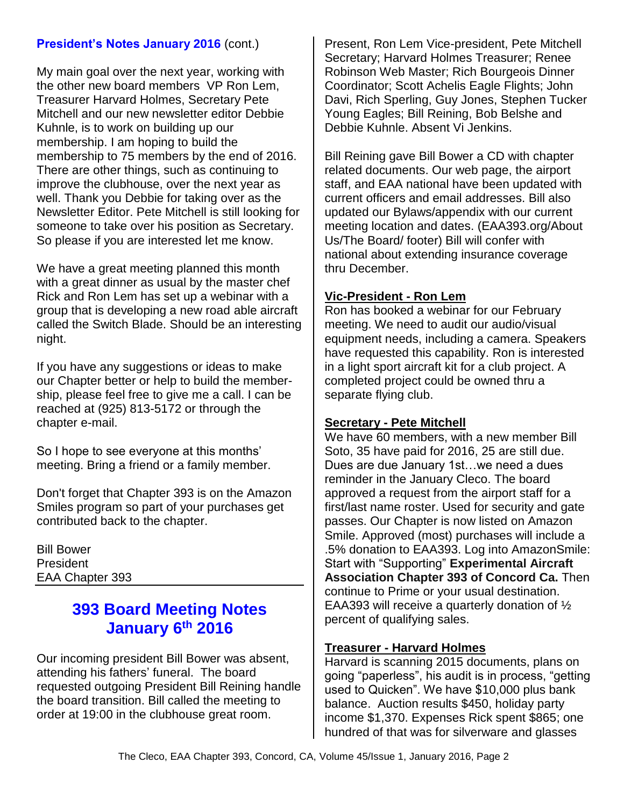### **President's Notes January 2016 (cont.)**

My main goal over the next year, working with the other new board members VP Ron Lem, Treasurer Harvard Holmes, Secretary Pete Mitchell and our new newsletter editor Debbie Kuhnle, is to work on building up our membership. I am hoping to build the membership to 75 members by the end of 2016. There are other things, such as continuing to improve the clubhouse, over the next year as well. Thank you Debbie for taking over as the Newsletter Editor. Pete Mitchell is still looking for someone to take over his position as Secretary. So please if you are interested let me know.

We have a great meeting planned this month with a great dinner as usual by the master chef Rick and Ron Lem has set up a webinar with a group that is developing a new road able aircraft called the Switch Blade. Should be an interesting night.

If you have any suggestions or ideas to make our Chapter better or help to build the membership, please feel free to give me a call. I can be reached at (925) 813-5172 or through the chapter e-mail.

So I hope to see everyone at this months' meeting. Bring a friend or a family member.

Don't forget that Chapter 393 is on the Amazon Smiles program so part of your purchases get contributed back to the chapter.

Bill Bower President EAA Chapter 393

## **393 Board Meeting Notes January 6th 2016**

Our incoming president Bill Bower was absent, attending his fathers' funeral. The board requested outgoing President Bill Reining handle the board transition. Bill called the meeting to order at 19:00 in the clubhouse great room.

Present, Ron Lem Vice-president, Pete Mitchell Secretary; Harvard Holmes Treasurer; Renee Robinson Web Master; Rich Bourgeois Dinner Coordinator; Scott Achelis Eagle Flights; John Davi, Rich Sperling, Guy Jones, Stephen Tucker Young Eagles; Bill Reining, Bob Belshe and Debbie Kuhnle. Absent Vi Jenkins.

Bill Reining gave Bill Bower a CD with chapter related documents. Our web page, the airport staff, and EAA national have been updated with current officers and email addresses. Bill also updated our Bylaws/appendix with our current meeting location and dates. (EAA393.org/About Us/The Board/ footer) Bill will confer with national about extending insurance coverage thru December.

#### **Vic-President - Ron Lem**

Ron has booked a webinar for our February meeting. We need to audit our audio/visual equipment needs, including a camera. Speakers have requested this capability. Ron is interested in a light sport aircraft kit for a club project. A completed project could be owned thru a separate flying club.

#### **Secretary - Pete Mitchell**

We have 60 members, with a new member Bill Soto, 35 have paid for 2016, 25 are still due. Dues are due January 1st…we need a dues reminder in the January Cleco. The board approved a request from the airport staff for a first/last name roster. Used for security and gate passes. Our Chapter is now listed on Amazon Smile. Approved (most) purchases will include a .5% donation to EAA393. Log into AmazonSmile: Start with "Supporting" **Experimental Aircraft Association Chapter 393 of Concord Ca.** Then continue to Prime or your usual destination. EAA393 will receive a quarterly donation of ½ percent of qualifying sales.

#### **Treasurer - Harvard Holmes**

Harvard is scanning 2015 documents, plans on going "paperless", his audit is in process, "getting used to Quicken". We have \$10,000 plus bank balance. Auction results \$450, holiday party income \$1,370. Expenses Rick spent \$865; one hundred of that was for silverware and glasses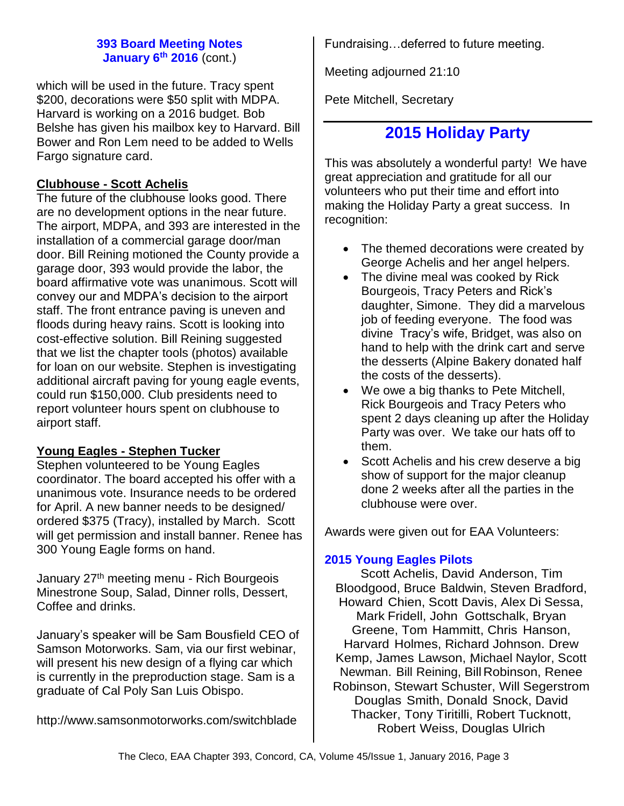#### **393 Board Meeting Notes January 6th 2016** (cont.)

which will be used in the future. Tracy spent \$200, decorations were \$50 split with MDPA. Harvard is working on a 2016 budget. Bob Belshe has given his mailbox key to Harvard. Bill Bower and Ron Lem need to be added to Wells Fargo signature card.

### **Clubhouse - Scott Achelis**

The future of the clubhouse looks good. There are no development options in the near future. The airport, MDPA, and 393 are interested in the installation of a commercial garage door/man door. Bill Reining motioned the County provide a garage door, 393 would provide the labor, the board affirmative vote was unanimous. Scott will convey our and MDPA's decision to the airport staff. The front entrance paving is uneven and floods during heavy rains. Scott is looking into cost-effective solution. Bill Reining suggested that we list the chapter tools (photos) available for loan on our website. Stephen is investigating additional aircraft paving for young eagle events, could run \$150,000. Club presidents need to report volunteer hours spent on clubhouse to airport staff.

### **Young Eagles - Stephen Tucker**

Stephen volunteered to be Young Eagles coordinator. The board accepted his offer with a unanimous vote. Insurance needs to be ordered for April. A new banner needs to be designed/ ordered \$375 (Tracy), installed by March. Scott will get permission and install banner. Renee has 300 Young Eagle forms on hand.

January 27<sup>th</sup> meeting menu - Rich Bourgeois Minestrone Soup, Salad, Dinner rolls, Dessert, Coffee and drinks.

January's speaker will be Sam Bousfield CEO of Samson Motorworks. Sam, via our first webinar, will present his new design of a flying car which is currently in the preproduction stage. Sam is a graduate of Cal Poly San Luis Obispo.

<http://www.samsonmotorworks.com/switchblade>

Fundraising…deferred to future meeting.

Meeting adjourned 21:10

Pete Mitchell, Secretary

## **2015 Holiday Party**

This was absolutely a wonderful party! We have great appreciation and gratitude for all our volunteers who put their time and effort into making the Holiday Party a great success. In recognition:

- The themed decorations were created by George Achelis and her angel helpers.
- The divine meal was cooked by Rick Bourgeois, Tracy Peters and Rick's daughter, Simone. They did a marvelous job of feeding everyone. The food was divine Tracy's wife, Bridget, was also on hand to help with the drink cart and serve the desserts (Alpine Bakery donated half the costs of the desserts).
- We owe a big thanks to Pete Mitchell, Rick Bourgeois and Tracy Peters who spent 2 days cleaning up after the Holiday Party was over. We take our hats off to them.
- Scott Achelis and his crew deserve a big show of support for the major cleanup done 2 weeks after all the parties in the clubhouse were over.

Awards were given out for EAA Volunteers:

#### **2015 Young Eagles Pilots**

Scott Achelis, David Anderson, Tim Bloodgood, Bruce Baldwin, Steven Bradford, Howard Chien, Scott Davis, Alex Di Sessa, Mark Fridell, John Gottschalk, Bryan Greene, Tom Hammitt, Chris Hanson, Harvard Holmes, Richard Johnson. Drew Kemp, James Lawson, Michael Naylor, Scott Newman. Bill Reining, BillRobinson, Renee Robinson, Stewart Schuster, Will Segerstrom Douglas Smith, Donald Snock, David Thacker, Tony Tiritilli, Robert Tucknott, Robert Weiss, Douglas Ulrich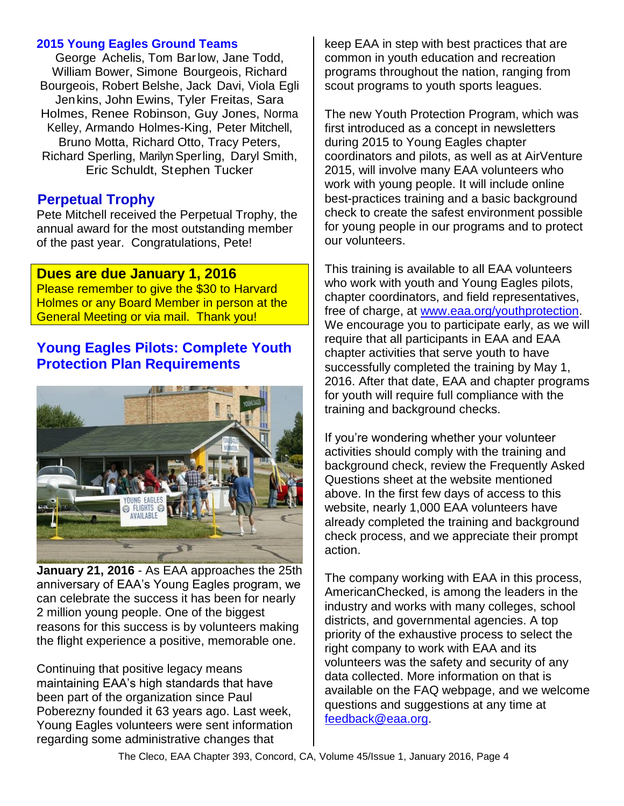#### **2015 Young Eagles Ground Teams**

George Achelis, Tom Barlow, Jane Todd, William Bower, Simone Bourgeois, Richard Bourgeois, Robert Belshe, Jack Davi, Viola Egli Jenkins, John Ewins, Tyler Freitas, Sara Holmes, Renee Robinson, Guy Jones, Norma Kelley, Armando Holmes-King, Peter Mitchell, Bruno Motta, Richard Otto, Tracy Peters, Richard Sperling, Marilyn Sperling, Daryl Smith, Eric Schuldt, Stephen Tucker

### **Perpetual Trophy**

Pete Mitchell received the Perpetual Trophy, the annual award for the most outstanding member of the past year. Congratulations, Pete!

### **Dues are due January 1, 2016**

Please remember to give the \$30 to Harvard Holmes or any Board Member in person at the General Meeting or via mail. Thank you!

## **Young Eagles Pilots: Complete Youth Protection Plan Requirements**



**January 21, 2016** - As EAA approaches the 25th anniversary of EAA's Young Eagles program, we can celebrate the success it has been for nearly 2 million young people. One of the biggest reasons for this success is by volunteers making the flight experience a positive, memorable one.

Continuing that positive legacy means maintaining EAA's high standards that have been part of the organization since Paul Poberezny founded it 63 years ago. Last week, Young Eagles volunteers were sent information regarding some administrative changes that

keep EAA in step with best practices that are common in youth education and recreation programs throughout the nation, ranging from scout programs to youth sports leagues.

The new Youth Protection Program, which was first introduced as a concept in newsletters during 2015 to Young Eagles chapter coordinators and pilots, as well as at AirVenture 2015, will involve many EAA volunteers who work with young people. It will include online best-practices training and a basic background check to create the safest environment possible for young people in our programs and to protect our volunteers.

This training is available to all EAA volunteers who work with youth and Young Eagles pilots, chapter coordinators, and field representatives, free of charge, at [www.eaa.org/youthprotection.](http://www.eaa.org/youthprotection) We encourage you to participate early, as we will require that all participants in EAA and EAA chapter activities that serve youth to have successfully completed the training by May 1, 2016. After that date, EAA and chapter programs for youth will require full compliance with the training and background checks.

If you're wondering whether your volunteer activities should comply with the training and background check, review the Frequently Asked Questions sheet at the website mentioned above. In the first few days of access to this website, nearly 1,000 EAA volunteers have already completed the training and background check process, and we appreciate their prompt action.

The company working with EAA in this process, AmericanChecked, is among the leaders in the industry and works with many colleges, school districts, and governmental agencies. A top priority of the exhaustive process to select the right company to work with EAA and its volunteers was the safety and security of any data collected. More information on that is available on the FAQ webpage, and we welcome questions and suggestions at any time at [feedback@eaa.org.](mailto:feedback@eaa.org)

The Cleco, EAA Chapter 393, Concord, CA, Volume 45/Issue 1, January 2016, Page 4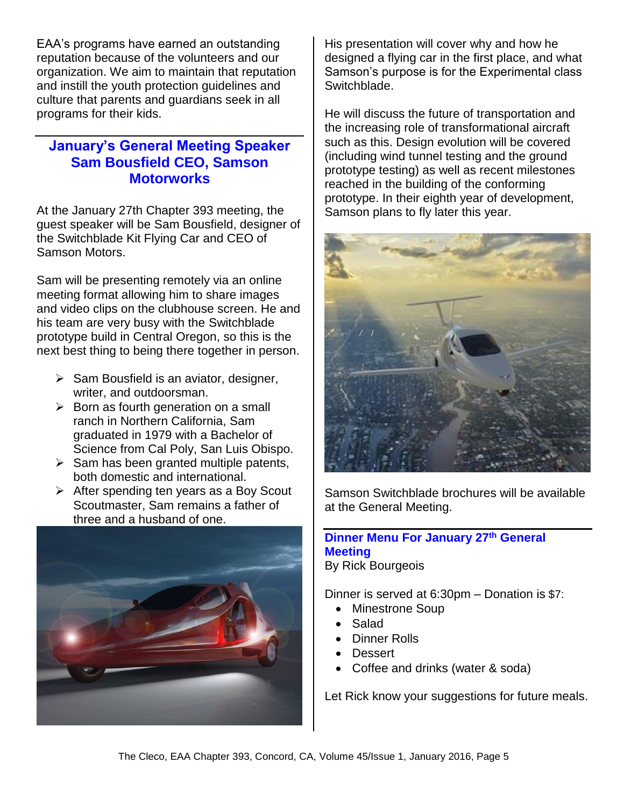EAA's programs have earned an outstanding reputation because of the volunteers and our organization. We aim to maintain that reputation and instill the youth protection guidelines and culture that parents and guardians seek in all programs for their kids.

## **January's General Meeting Speaker Sam Bousfield CEO, Samson Motorworks**

At the January 27th Chapter 393 meeting, the guest speaker will be Sam Bousfield, designer of the Switchblade Kit Flying Car and CEO of Samson Motors.

Sam will be presenting remotely via an online meeting format allowing him to share images and video clips on the clubhouse screen. He and his team are very busy with the Switchblade prototype build in Central Oregon, so this is the next best thing to being there together in person.

- $\triangleright$  Sam Bousfield is an aviator, designer, writer, and outdoorsman.
- $\triangleright$  Born as fourth generation on a small ranch in Northern California, Sam graduated in 1979 with a Bachelor of Science from Cal Poly, San Luis Obispo.
- $\triangleright$  Sam has been granted multiple patents, both domestic and international.
- $\triangleright$  After spending ten years as a Boy Scout Scoutmaster, Sam remains a father of three and a husband of one.



His presentation will cover why and how he designed a flying car in the first place, and what Samson's purpose is for the Experimental class Switchblade.

He will discuss the future of transportation and the increasing role of transformational aircraft such as this. Design evolution will be covered (including wind tunnel testing and the ground prototype testing) as well as recent milestones reached in the building of the conforming prototype. In their eighth year of development, Samson plans to fly later this year.



Samson Switchblade brochures will be available at the General Meeting.

## **Dinner Menu For January 27th General Meeting**

By Rick Bourgeois

Dinner is served at 6:30pm – Donation is \$7:

- Minestrone Soup
- Salad
- Dinner Rolls
- Dessert
- Coffee and drinks (water & soda)

Let Rick know your suggestions for future meals.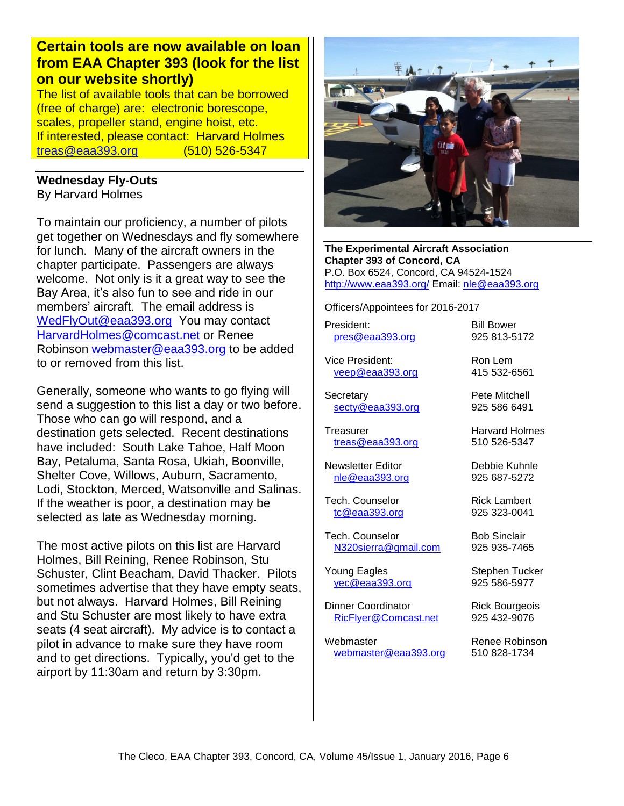## **Certain tools are now available on loan from EAA Chapter 393 (look for the list on our website shortly)**

The list of available tools that can be borrowed (free of charge) are: electronic borescope, scales, propeller stand, engine hoist, etc. If interested, please contact: Harvard Holmes [treas@eaa393.org](mailto:treas@eaa393.org) (510) 526-5347

# **Wednesday Fly-Outs**

By Harvard Holmes

To maintain our proficiency, a number of pilots get together on Wednesdays and fly somewhere for lunch. Many of the aircraft owners in the chapter participate. Passengers are always welcome. Not only is it a great way to see the Bay Area, it's also fun to see and ride in our members' aircraft. The email address is [WedFlyOut@eaa393.org](mailto:WedFlyOut@eaa393.org) You may contact [HarvardHolmes@comcast.net](mailto:HarvardHolmes@comcast.net) or Renee Robinson [webmaster@eaa393.org](mailto:webmaster@eaa393.org) to be added to or removed from this list.

Generally, someone who wants to go flying will send a suggestion to this list a day or two before. Those who can go will respond, and a destination gets selected. Recent destinations have included: South Lake Tahoe, Half Moon Bay, Petaluma, Santa Rosa, Ukiah, Boonville, Shelter Cove, Willows, Auburn, Sacramento, Lodi, Stockton, Merced, Watsonville and Salinas. If the weather is poor, a destination may be selected as late as Wednesday morning.

The most active pilots on this list are Harvard Holmes, Bill Reining, Renee Robinson, Stu Schuster, Clint Beacham, David Thacker. Pilots sometimes advertise that they have empty seats, but not always. Harvard Holmes, Bill Reining and Stu Schuster are most likely to have extra seats (4 seat aircraft). My advice is to contact a pilot in advance to make sure they have room and to get directions. Typically, you'd get to the airport by 11:30am and return by 3:30pm.



**The Experimental Aircraft Association Chapter 393 of Concord, CA** P.O. Box 6524, Concord, CA 94524-1524 <http://www.eaa393.org/> Email: [nle@eaa393.org](mailto:nle@eaa393.org)

Officers/Appointees for 2016-2017

President: Bill Bower [pres@eaa393.org](mailto:pres@eaa393.org) 925 813-5172

Vice President: Ron Lem [veep@eaa393.org](mailto:veep@eaa393.org) 415 532-6561

Secretary **Pete Mitchell** [secty@eaa393.org](mailto:secty@eaa393.org) 925 586 6491

Treasurer **Harvard Holmes** [treas@eaa393.org](mailto:treas@eaa393.org) 510 526-5347

Newsletter Editor **Debbie Kuhnle** [nle@eaa393.org](mailto:nle@eaa393.org) 925 687-5272

Tech. Counselor **Rick Lambert** [tc@eaa393.org](mailto:tc@eaa393.org) 925 323-0041

Tech. Counselor **Bob Sinclair** [N320sierra@gmail.com](mailto:N320sierra@gmail.com) 925 935-7465

Young Eagles Stephen Tucker [yec@eaa393.org](mailto:yec@eaa393.org) 925 586-5977

Dinner Coordinator Rick Bourgeois [RicFlyer@Comcast.net](mailto:RicFlyer@Comcast.net) 925 432-9076

Webmaster **Renee Robinson** [webmaster@eaa393.org](mailto:webmaster@eaa393.org) 510 828-1734